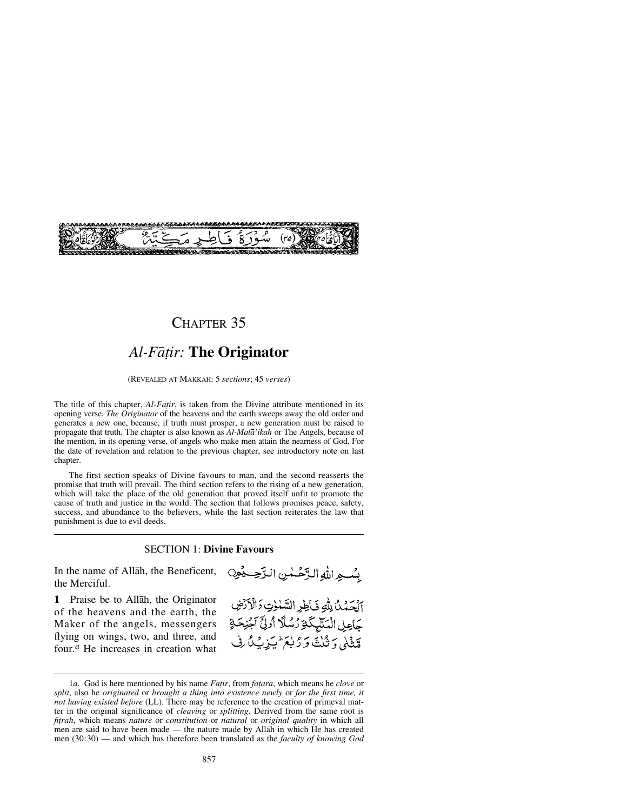

# CHAPTER 35

# *Al-Få∆ir:* **The Originator**

(REVEALED AT MAKKAH: 5 *sections*; 45 *verses*)

The title of this chapter, *Al-Fāṭir*, is taken from the Divine attribute mentioned in its opening verse. *The Originator* of the heavens and the earth sweeps away the old order and generates a new one, because, if truth must prosper, a new generation must be raised to propagate that truth. The chapter is also known as *Al-Malå'ikah* or The Angels, because of the mention, in its opening verse, of angels who make men attain the nearness of God. For the date of revelation and relation to the previous chapter, see introductory note on last chapter.

The first section speaks of Divine favours to man, and the second reasserts the promise that truth will prevail. The third section refers to the rising of a new generation, which will take the place of the old generation that proved itself unfit to promote the cause of truth and justice in the world. The section that follows promises peace, safety, success, and abundance to the believers, while the last section reiterates the law that punishment is due to evil deeds.

#### SECTION 1: **Divine Favours**

In the name of Allåh, the Beneficent, the Merciful.

**1** Praise be to Allåh, the Originator of the heavens and the earth, the Maker of the angels, messengers flying on wings, two, and three, and four.*<sup>a</sup>* He increases in creation what بِسْبِهِ اللَّهِ الدَّخْسُنِ الدَّجِسِيْمِينِ

الحَدُنُ لِلَّهِ فَاطِرِ السَّلْوٰتِ وَالْأَرْضِ كَاعِلِ الْمَلَيْكَةِ رُسُلًا أُولِئَ آَجْنِحَةٍ قِينِيْنِي وَ ثُلِثَةٍ وَ رُبِعَ أَيَيْنِ فِي لَيْ

<sup>1</sup>*a.* God is here mentioned by his name *Fātir*, from *fatara*, which means he *clove* or *split*, also he *originated* or *brought a thing into existence newly* or *for the first time, it not having existed before* (LL). There may be reference to the creation of primeval matter in the original significance of *cleaving* or *splitting*. Derived from the same root is *fitrah*, which means *nature* or *constitution* or *natural* or *original quality* in which all men are said to have been made — the nature made by Allåh in which He has created men (30:30) — and which has therefore been translated as the *faculty of knowing God*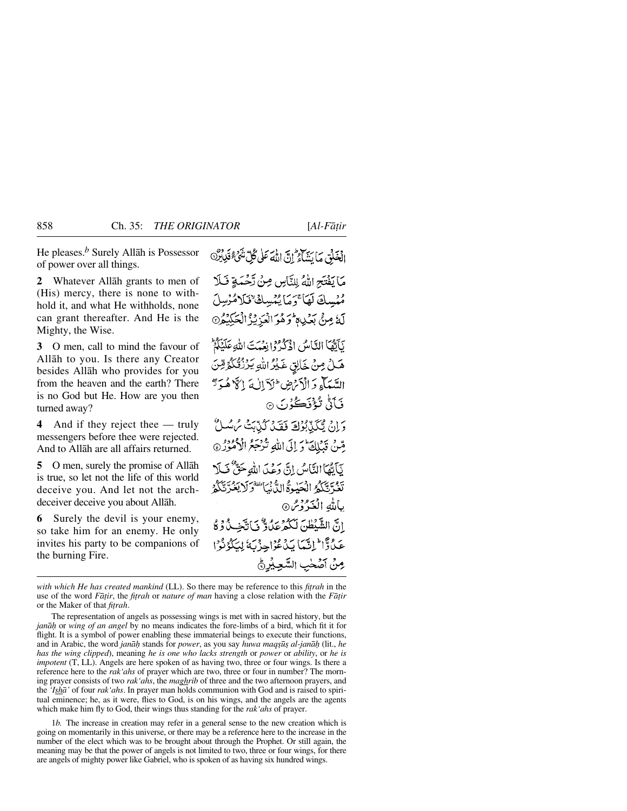**2** Whatever Allåh grants to men of (His) mercy, there is none to withhold it, and what He withholds, none can grant thereafter. And He is the Mighty, the Wise.

**3** O men, call to mind the favour of Allåh to you. Is there any Creator besides Allåh who provides for you from the heaven and the earth? There is no God but He. How are you then turned away?

**4** And if they reject thee — truly messengers before thee were rejected. And to Allåh are all affairs returned.

**5** O men, surely the promise of Allåh is true, so let not the life of this world deceive you. And let not the archdeceiver deceive you about Allåh.

**6** Surely the devil is your enemy, so take him for an enemy. He only invites his party to be companions of the burning Fire.

مَا يَفْتَحِ اللَّهُ لِلنَّاسِ صِنْ تَحْمَةٍ فَلَا مُهْسِكَ لَهَا َيَ مَا يُهْسِكَ تَلَامُّرْسِلَ لَهُ مِنْ بَعْدِةٍ وَهُوَ الْعَزِيْزُ الْجَلِيْدُنَ نَأَيُّهَا النَّاسُ اذْكُرُوْ إِنِعْمَتَ اللَّهِ عَلَيْكُمْ هَلْ مِنْ خَالِقٍ غَيْرُ اللهِ يَرْزُقُكُمُّ مِّنَ السَّيَآءِ دَ الْأَنْرَضِ ۖ لَاَ إِلٰهَ إِلَّا هُ دَدٌّ فَ<del>أَنَّى نُؤْفَكُ</del>وُنَ ۞

وَإِنْ يَتَكَذَّبُوْلَ فَقَدْ كُنَّابَتْ مُ سُلاً مِّنْ قَبْلِكَ وَإِلَى اللَّهِ تُزْجَعُ الْأُمُوْزُ @ نَأَنَّهَا النَّامِكِي إِنَّ دَءِيَ اللَّهِ حَقٌّ فَبِلَا تَغُوَّ تَكَكُّرُ الْحَيْدِةُ الدُّنْيَا تَفْرَكَ يَغُرَّ تَكُّرُ بالله الْغَيْرُدْسْ۞ انَّ الشَّبْطُنَ لَكُمْ عَلُوٌّ فَيَانَّخِيلُ دُوْ كَا عَدُوًّا ۖ إِنَّيْمَا بَدۡ عُوۡآ ۖ وَ بَهٗ لِمَكۡدُوۡنُوۡ ا مِنْ آصَٰحٰبِ السَّعِيْرِ ﴾

1*b.* The increase in creation may refer in a general sense to the new creation which is going on momentarily in this universe, or there may be a reference here to the increase in the number of the elect which was to be brought about through the Prophet. Or still again, the meaning may be that the power of angels is not limited to two, three or four wings, for there are angels of mighty power like Gabriel, who is spoken of as having six hundred wings.

*with which He has created mankind* (LL). So there may be reference to this *fitrah* in the use of the word *Fātir*, the *fitrah* or *nature of man* having a close relation with the *Fātir* or the Maker of that *fitrah*.

The representation of angels as possessing wings is met with in sacred history, but the *janå√* or *wing of an angel* by no means indicates the fore-limbs of a bird, which fit it for flight. It is a symbol of power enabling these immaterial beings to execute their functions, and in Arabic, the word *janå√* stands for *power*, as you say *huwa maq©∂© al-janå√* (lit., *he has the wing clipped*), meaning *he is one who lacks strength* or *power* or *ability*, or *he is impotent* (T, LL). Angels are here spoken of as having two, three or four wings. Is there a reference here to the *rak'ahs* of prayer which are two, three or four in number? The morning prayer consists of two *rak'ahs*, the *maghrib* of three and the two afternoon prayers, and the *'Ishå'* of four *rak'ahs*. In prayer man holds communion with God and is raised to spiritual eminence; he, as it were, flies to God, is on his wings, and the angels are the agents which make him fly to God, their wings thus standing for the *rak'ahs* of prayer.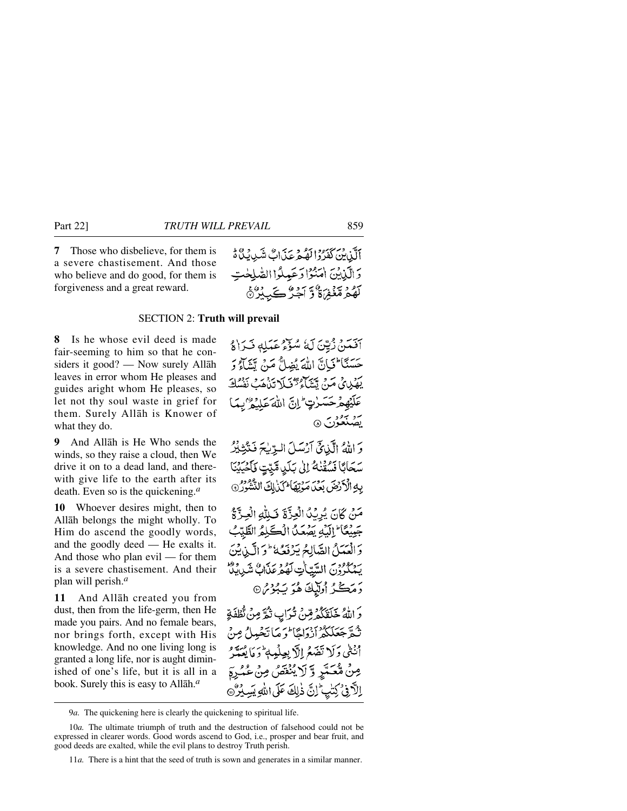**7** Those who disbelieve, for them is a severe chastisement. And those who believe and do good, for them is forgiveness and a great reward.

ٱلَّذِيۡنَ كَفَرُوۡالۡهُمۡمَ عَذَابٌ شَدِيۡكُمۡ مَّ وَالَّيْنِيْنَ اٰمَنُوۡٓا دَعَيْدِلُوۡا الصَّلِحْتِ لَّهُمُ مَّغْفِرَةٌ وَّ آَجُرُّ كَيِبِيْرُهُ

### SECTION 2: **Truth will prevail**

**8** Is he whose evil deed is made fair-seeming to him so that he considers it good? — Now surely Allåh leaves in error whom He pleases and guides aright whom He pleases, so let not thy soul waste in grief for them. Surely Allåh is Knower of what they do.

**9** And Allåh is He Who sends the winds, so they raise a cloud, then We drive it on to a dead land, and therewith give life to the earth after its death. Even so is the quickening.*<sup>a</sup>*

**10** Whoever desires might, then to Allåh belongs the might wholly. To Him do ascend the goodly words, and the goodly deed — He exalts it. And those who plan evil — for them is a severe chastisement. And their plan will perish.*<sup>a</sup>*

**11** And Allåh created you from dust, then from the life-germ, then He made you pairs. And no female bears, nor brings forth, except with His knowledge. And no one living long is granted a long life, nor is aught diminished of one's life, but it is all in a book. Surely this is easy to Allåh.*<sup>a</sup>*

آفَيْتِنْ زُيِّنَ لَهُ سُؤْءُ عَبَيْلِهِ فَيَرَاهُ حَسَنًا كَيَانَّ اللَّهَ يُضِلُّ مَنْ تَشَاءُ دَ يَهْيِدِيْ مَنْ تَتَتَلَّعُ تَحْيَلَا تَذْهَبُ نَفْسُكَ *ػ*ڷؽۿؽ۠ٙڔڂۜڛڒؾ لِّمَانَّ اللَّهَ عَلَيْهُ "بِمَا بر برود<br>پهنغون ۱۵

وَاللَّهُ الَّذِيحَ آرُسَلَ الْوِّيْحَ فَتَّذِيْرُ سَحَابًا نَسْقَنْهُ إِلَىٰ بَلَىٰ مَّتِيتٍ نَأْخُيَيْنَا بِهِ الْأَرْضَ بَعْدَ مَوْتِهَا لَكُنَاكَ النَّشُوْرُ 9

مَنْ كَانَ يُرِيْدُ الْعِزَّةَ فَبِلَّهِ الْعِزَّةُ جَبِيْعًا ۖ إِلَيْهِ يَصْعَدُ الْكَلِمُ الطَّيِّبُ وَالْعَمَلُ الصَّالِحُ يَرْفَعُهُ ۚ وَ الَّيْنِ يُنَ بر مورد السّياتِ لَهُ مِنْ مَنْ مَنْ وَمُوالِّهِ مِنْ مَنْ مَنْ مَنْ الْمَدْيَةِينَ رَمَكْزُ أُولَّيْكَ هُوَ يَـْٰبُوْشْ۞ دَ اللَّهُ خَلَقَكُمْ مِّنْ ثَرَابٍ تَكُرَّ مِنْ تّْطَفَةِ ثُعَّ جَعَلَكُمْ أَزْدَاهًا لَوَ مَا تَخْبِيلُ مِنْ

أَنْتَنِي وَلَا نَضَعُ إِلَّا بِعِلْهِ بِمَنْ وَمَا يُعَيَّدُ مِنْ مُّعَمَّرِ وَّ لَا يُنْقَصُ مِنْ عُمُرة اِلَّافِىُ كِتْبِيُّ إِنَّ ذٰٰلِكَ عَلَى اللَّهِ بَيِّدِ

9*a.* The quickening here is clearly the quickening to spiritual life.

<sup>10</sup>*a.* The ultimate triumph of truth and the destruction of falsehood could not be expressed in clearer words. Good words ascend to God, i.e., prosper and bear fruit, and good deeds are exalted, while the evil plans to destroy Truth perish.

<sup>11</sup>*a.* There is a hint that the seed of truth is sown and generates in a similar manner.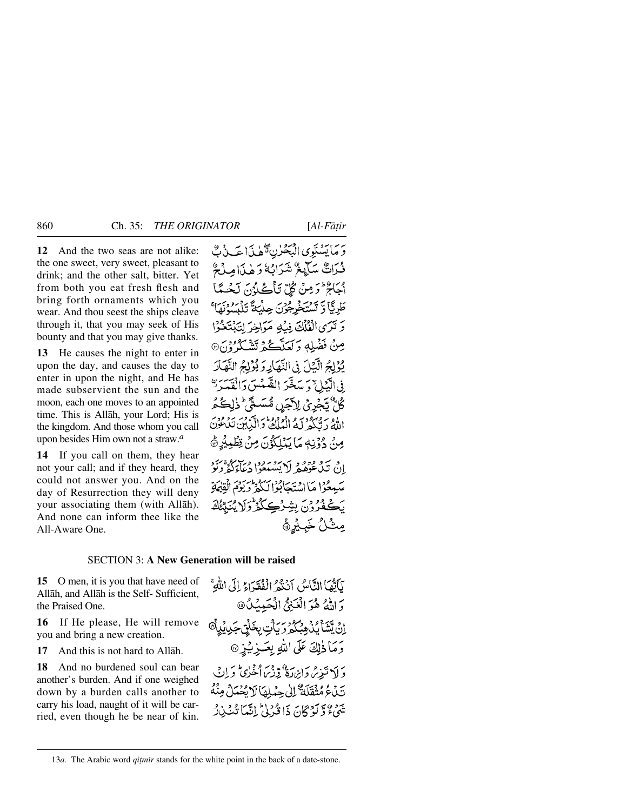**12** And the two seas are not alike: the one sweet, very sweet, pleasant to drink; and the other salt, bitter. Yet from both you eat fresh flesh and bring forth ornaments which you wear. And thou seest the ships cleave through it, that you may seek of His bounty and that you may give thanks.

**13** He causes the night to enter in upon the day, and causes the day to enter in upon the night, and He has made subservient the sun and the moon, each one moves to an appointed time. This is Allåh, your Lord; His is the kingdom. And those whom you call upon besides Him own not a straw.*<sup>a</sup>*

**14** If you call on them, they hear not your call; and if they heard, they could not answer you. And on the day of Resurrection they will deny your associating them (with Allåh). And none can inform thee like the All-Aware One.

وَمَا يَسْتَوِي الْبَحْرٰنِ تَهْلِدَاءَ فَيْ بِي فْبَرَاتٌ سَأَيْغٌ شَرَابُهُ وَهٰذَا مِلْعٌ أَجَاجٌ وَكِنَّ كُلِّ تَأْكُلُونَ لَحُسَنًا طَرِيَّا وَتَسْتَخْرِجُوْنَ حِلْيَةً تَلْبَسُوْنَهَا وَتَرَىٰ الْفُلُكَ فِيَٰدٍ مَرَاخِرَ لِتَبْتَحُوْا مِنْ فَضْلِهِ وَكَعَلَّكُمْ تَشْكُرُ فِنْ @ يُؤْلِجُ الَّذِلَ فِي النَّهَارِ وَيُؤْلِجُ النَّهَارَ فِى الَّيْلِ ۚ وَسَخَّرَ الشَّمْسَ وَالْقَسَرَةِ كُلِّ تَجْرِيُ لِأَجَرِ مُّسَمَّ ۚ ذٰلِكُمُ اللَّهُ دَيُّكُمْ لَمُهُ الْمُلْكُّ دَالَّيْنِينَ تَدْعُوْنَ مِنْ دُوْنِي مَا يَبْلَكُوْنَ مِنْ قِطْبِيْرِ ۞ ان تيد فروم (د تشيطوا دعام ديو سَمِعْوْا مَا اسْتَجَابُوْالِكُمْ وَيَوْمَ الْقِيْهَةِ بَكْعُدُونَ بِشِرْكِكُثْرُوْلَا يُنَبِّئُكَ مِثْلُ خَبِيْرِةً

### SECTION 3: **A New Generation will be raised**

**15** O men, it is you that have need of Allåh, and Allåh is the Self- Sufficient, the Praised One.

**16** If He please, He will remove you and bring a new creation.

**17** And this is not hard to Allåh.

**18** And no burdened soul can bear another's burden. And if one weighed down by a burden calls another to carry his load, naught of it will be carried, even though he be near of kin.

وَمَا ذٰلِكَ عَلَى اللَّهِ بِعَــزِيْـزِ @ وَ لَا تَبْدِعْ وَابِرْدَةٌ وَّنِهَ، أَخْرَى وَ إِنْ

تَيْنَ هُ مُثْقَلَةٌ ۚ إِنِّي حِمْلِهَا لَا يُحْمَلُ مِنْهُ يَهُمْ وَلَوْ كَانَ ذَا قُدْرُنَّ إِنَّمَا تُنْبِذِرْ

بَاَتُهَا النَّاسُ أَنْنُهُمْ إِنْفُقَهَاءُ إِلَى اللَّهِ ۚ

ؚٳڹٛؾٞؿٲؽؙڹٛڡ*ۣڹٛڴۮۣۯ*ؘۑٲؾۥۣڂڷڗڿڮۑؽڸ<sup>ۜ۞</sup>

وَ اللَّهُ هُوَ الْغَنِيُّ الْحَبِيبُ كَ١

#### 13*a*. The Arabic word *qitmīr* stands for the white point in the back of a date-stone.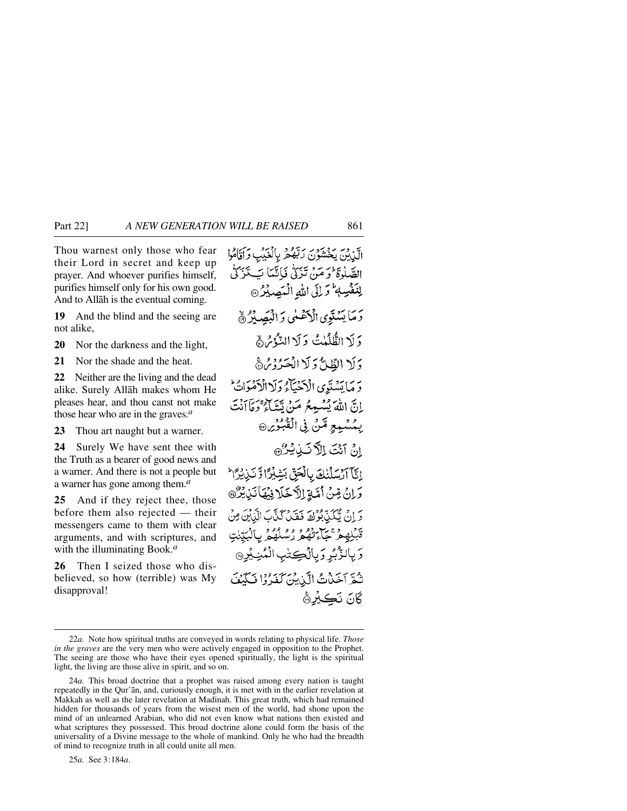Thou warnest only those who fear their Lord in secret and keep up prayer. And whoever purifies himself, purifies himself only for his own good. And to Allåh is the eventual coming.

**19** And the blind and the seeing are not alike,

**20** Nor the darkness and the light,

**21** Nor the shade and the heat.

**22** Neither are the living and the dead alike. Surely Allåh makes whom He pleases hear, and thou canst not make those hear who are in the graves.*<sup>a</sup>*

**23** Thou art naught but a warner.

**24** Surely We have sent thee with the Truth as a bearer of good news and a warner. And there is not a people but a warner has gone among them.*<sup>a</sup>*

**25** And if they reject thee, those before them also rejected — their messengers came to them with clear arguments, and with scriptures, and with the illuminating Book.*<sup>a</sup>*

**26** Then I seized those who disbelieved, so how (terrible) was My disapproval!

اتن بن يَخْشَوْنَ رَبُّوْمُ بِالْغَيْبِ وَأَقَامُوا الصَّلْوَةَ ۖ وَ مَنْ تَزَكُّ فَإِنَّمَا بَبَ تَزَكُّ لِلْنَفْسِهِ وَلِلِّي اللَّهِ الْكَصِيْلُ رَمَا يَسۡنَوۡيَ الۡاَعۡلَٰیُ وَ الۡبَصَلِرُ ﴾ وَلَا الطُّلُمْتُ وَلَا النُّؤُمُّ ﴾ وَلَا الظَّلِّ وَلَا الْحَدُّوْمُ® وَمَا يَسْتَوِي الْأَحْيَاءُ وَلَاالْأَهْوَاتُ ۖ إِنَّ اللَّهَ يُسْبِعِرُ مَنْ تَتَنَاءُ ۚ دَمَآاَنۡتَ بِمُسْمِعٍ مِّنْ فِي الْقُبُوْيِنِ انْ آنْتَ الكَّ نَبْ يُرُّ إِيَّآ أَرْسَلْنَكَ بِالْجَقِّ بَشِيْرًا وَّ نَبِيْرًا وَإِنْ مِّنُ أَمَّةٍ إِلاَّ خَلَا فِيهَا نَذِيْرٌ تِهِ إِنْ يَتَكَذَّبُونِكَ فَقَدْرَ كَنَّاكَ الْذَيْنَ مِنْ ة لِهِ دِءِ بِرَ دِهِ وَ وَ مُرْمَّدٍ بِالْبَيِّنٰتِ وَ بِالزَّبِّرِ وَبِالْڪِتٰبِ الْمُنِيْدِ۞ تُعَرَّ أَخَذْتُ الَّذِينَ كَفَدُوْا فَبَكِنْفَ گانَ نَڪِيْرِ۞

25*a.* See 3:184*a*.

<sup>22</sup>*a.* Note how spiritual truths are conveyed in words relating to physical life. *Those in the graves* are the very men who were actively engaged in opposition to the Prophet. The seeing are those who have their eyes opened spiritually, the light is the spiritual light, the living are those alive in spirit, and so on.

<sup>24</sup>*a.* This broad doctrine that a prophet was raised among every nation is taught repeatedly in the Qur'ån, and, curiously enough, it is met with in the earlier revelation at Makkah as well as the later revelation at Madinah. This great truth, which had remained hidden for thousands of years from the wisest men of the world, had shone upon the mind of an unlearned Arabian, who did not even know what nations then existed and what scriptures they possessed. This broad doctrine alone could form the basis of the universality of a Divine message to the whole of mankind. Only he who had the breadth of mind to recognize truth in all could unite all men.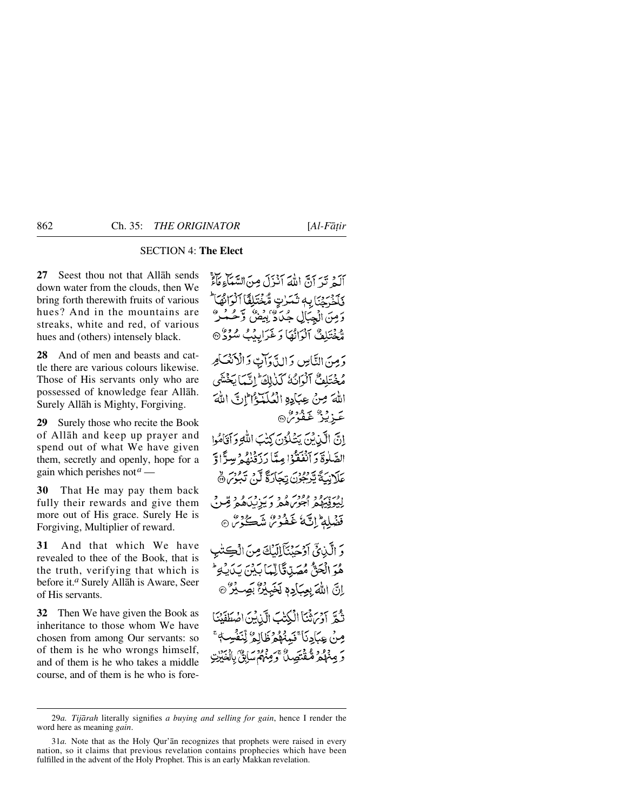## SECTION 4: **The Elect**

**27** Seest thou not that Allåh sends down water from the clouds, then We bring forth therewith fruits of various hues? And in the mountains are streaks, white and red, of various hues and (others) intensely black.

**28** And of men and beasts and cattle there are various colours likewise. Those of His servants only who are possessed of knowledge fear Allåh. Surely Allåh is Mighty, Forgiving.

**29** Surely those who recite the Book of Allåh and keep up prayer and spend out of what We have given them, secretly and openly, hope for a gain which perishes not*<sup>a</sup>* —

**30** That He may pay them back fully their rewards and give them more out of His grace. Surely He is Forgiving, Multiplier of reward.

**31** And that which We have revealed to thee of the Book, that is the truth, verifying that which is before it.*<sup>a</sup>* Surely Allåh is Aware, Seer of His servants.

**32** Then We have given the Book as inheritance to those whom We have chosen from among Our servants: so of them is he who wrongs himself, and of them is he who takes a middle course, and of them is he who is foreأَلَيْهِ نَهْرَ أَنَّ اللَّهَ أَنْزَلَ مِنَ السَّعَاءِ مَاءً فَكَخْرَجْنَا بِهِ ثَمَرْتِ مُّخْتَلِفًا ٱلْوَانْهَا ۚ وَمِنَ الْجِبَالِ جُدَنَّهُ، وهِ، وَحَمْدٌ مُّخْتَلِفٌ آلْوَانُهَا وَغَرَابِيْبُ سُوْدٌ @

دَ مِنَ النَّامِينِ وَ الدَّدْاتِ دَ الْ(نَعْسَامِر مُخْتَلِفٌ آلُوَانُهُ كَذٰلِكَ ۚ إِنَّمَا يَخۡشَى اللهَ صِنْ حِيَادِهِ الْعُلَيْةُ الْإِنَّ اللَّهَ عَزِيْزٌ غَفُرْسٌ

انَّ الَّيْنِ بِنَ يَشْكُوْنَ كِتْبَ اللَّهِ وَآقَامُوا الصَّلَوةَ وَ ٱنْفَعْنُوْا مِيَّا رَبِّهُ ۚ وَلَا وَقُنْفُهُ مِيدًّا وَّ عَلَانِيَّةَ يَرْجُونَ تِجَارَةً لَّنْ تَبُوْسَ ﴾

ن سرور وودس و سربر وسره د قبر قبر<br>لِيُوفِيهِمْ اجْوَيْهُمْ وَيَيْزِيْبَاهُمْ قِبْرِقِي فَضَلَّهُ إِنَّ مَا غَفُوْمٌ مِنْهَكُومٌ ۞

وَ الَّذِيقَ أَوْجَبُنَكَّ إِلَيْكَ مِنَ الْكِتْبِ هُوَ الْحَقُّ مُصَدِّقَالِّهَا بَيْنَ يَدَيْكِ ۚ إِنَّ اللَّهَ بِعِبَادِهِ لَخَبِيْرٌ بَصِيْرٌ ۞

نَّهُمَّ آدْسَ ثَمَّا الْكِتْبَ الَّذِينَ اضْطَفَيْنَا مِنْ عِبَادِنَا ۚ فَبِمْنُهُمۡ ظَالِمُ لِّنَفۡسٍ دَ مِنْهُدُهُ مُنْقُّنَصِيلٌ وَمِنْهُمْ سَابِقٌ بِالْ

<sup>29</sup>*a. Tijårah* literally signifies *a buying and selling for gain*, hence I render the word here as meaning *gain*.

<sup>31</sup>*a.* Note that as the Holy Qur'ån recognizes that prophets were raised in every nation, so it claims that previous revelation contains prophecies which have been fulfilled in the advent of the Holy Prophet. This is an early Makkan revelation.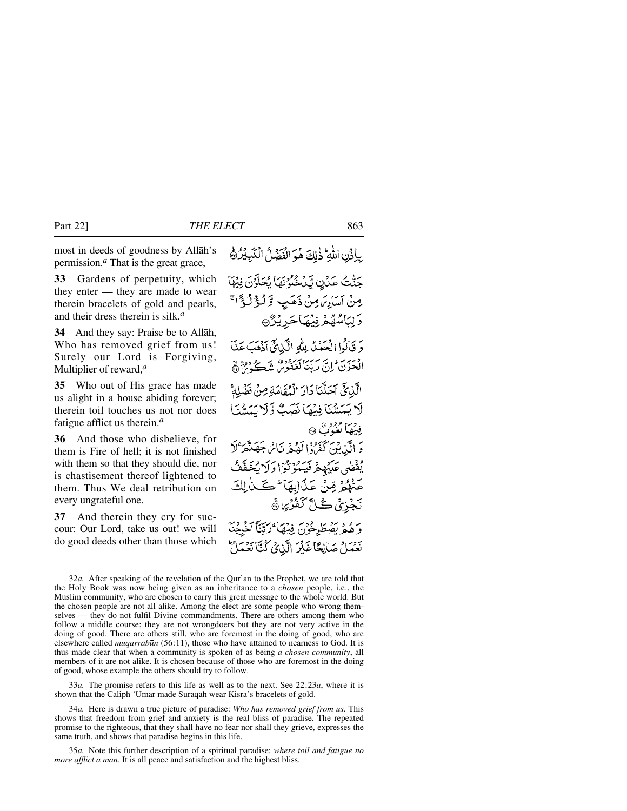most in deeds of goodness by Allåh's permission.*<sup>a</sup>* That is the great grace,

**33** Gardens of perpetuity, which they enter — they are made to wear therein bracelets of gold and pearls, and their dress therein is silk.*<sup>a</sup>*

**34** And they say: Praise be to Allåh, Who has removed grief from us! Surely our Lord is Forgiving, Multiplier of reward,*<sup>a</sup>*

**35** Who out of His grace has made us alight in a house abiding forever; therein toil touches us not nor does fatigue afflict us therein.*<sup>a</sup>*

**36** And those who disbelieve, for them is Fire of hell; it is not finished with them so that they should die, nor is chastisement thereof lightened to them. Thus We deal retribution on every ungrateful one.

**37** And therein they cry for succour: Our Lord, take us out! we will do good deeds other than those which بِإِذْنِ اللَّهِ ۚ ذٰلِكَ هُوَ الْفَضْلُ الْكَبِيْرُ ﴾

جَنّْتُ عَدُنٍ يَّدُخُّلُونَهَا يُحَلَّوُنَ فِيُهَا مِنْ آسَامِ مِنْ ذَهَبِ وَّلُؤُلُؤُا رَّلِبَاسُهُمْ فِيْهَاحَرِيْرُ® وَ قَالُوا الْحَمْلُ لِلَّهِ الَّذِيخَ أَذْهَبَ عَنَّا الْمَحَزَنَ إِنَّ رَبَّيْنَا لَعَفُوْسُ شَڪُوبُنَ ۞ الَّذِيحَ آحَلَّنَا دَارَ الْمُقَامَةِ مِنْ فَضْا لَا يَعَيِّيُّنَا فِيْهَا نَصَبُّ وَّلَا يَعَيّْدَيَا فِيْهَا كُغْزَبٌ ۞ وَ الَّيْابِينَ كَفَرُوا لَهُ بِهِ نَاسُ جَهَنَّقَهَّ لَا يُقْضَى عَلَيْهِمْ فَيَتَّدُّرْنَوْا وَلَا يُخَفَّفُ تَّنْهُمْ مِّنْ عَذَابِهَا ۖ كَيْنَ لِكَ نَجْزِيُ ڪُلَّ کَفُرُيُ ۞ بِرُ وَيَهْطُرِخُونَ فِيهَا ۚ رَبَّنَآ آخَرِجْنَا نَعْمَلْ صَالِحًا غَيْرَ الَّذِيْ كُنَّا نَعْمَلْ

33*a.* The promise refers to this life as well as to the next. See 22:23*a*, where it is shown that the Caliph 'Umar made Suråqah wear Kisrå's bracelets of gold.

34*a.* Here is drawn a true picture of paradise: *Who has removed grief from us*. This shows that freedom from grief and anxiety is the real bliss of paradise. The repeated promise to the righteous, that they shall have no fear nor shall they grieve, expresses the same truth, and shows that paradise begins in this life.

35*a.* Note this further description of a spiritual paradise: *where toil and fatigue no more afflict a man*. It is all peace and satisfaction and the highest bliss.

<sup>32</sup>*a.* After speaking of the revelation of the Qur'ån to the Prophet, we are told that the Holy Book was now being given as an inheritance to a *chosen* people, i.e., the Muslim community, who are chosen to carry this great message to the whole world. But the chosen people are not all alike. Among the elect are some people who wrong themselves — they do not fulfil Divine commandments. There are others among them who follow a middle course; they are not wrongdoers but they are not very active in the doing of good. There are others still, who are foremost in the doing of good, who are elsewhere called *muqarrab∂n* (56:11), those who have attained to nearness to God. It is thus made clear that when a community is spoken of as being *a chosen community*, all members of it are not alike. It is chosen because of those who are foremost in the doing of good, whose example the others should try to follow.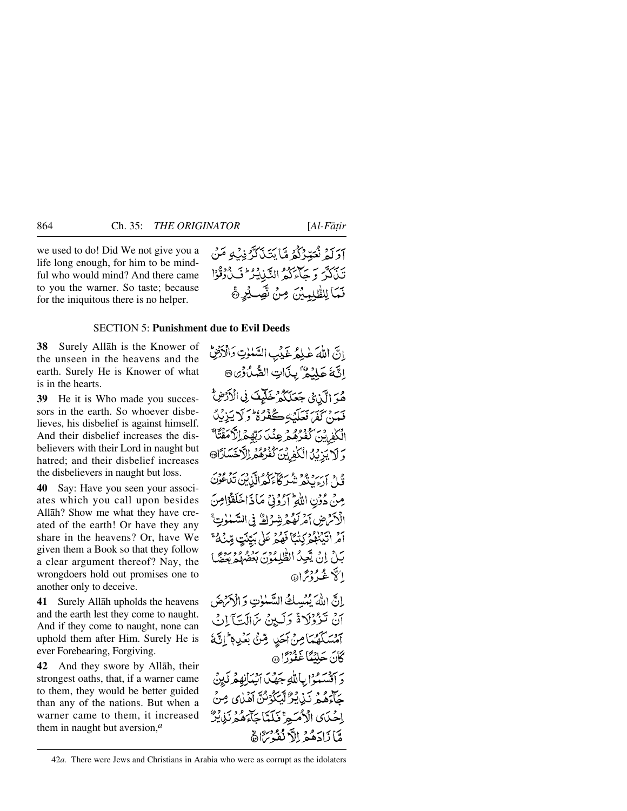we used to do! Did We not give you a life long enough, for him to be mindful who would mind? And there came to you the warner. So taste; because for the iniquitous there is no helper.

## SECTION 5: **Punishment due to Evil Deeds**

**38** Surely Allåh is the Knower of the unseen in the heavens and the earth. Surely He is Knower of what is in the hearts.

**39** He it is Who made you successors in the earth. So whoever disbelieves, his disbelief is against himself. And their disbelief increases the disbelievers with their Lord in naught but hatred; and their disbelief increases the disbelievers in naught but loss.

**40** Say: Have you seen your associates which you call upon besides Allåh? Show me what they have created of the earth! Or have they any share in the heavens? Or, have We given them a Book so that they follow a clear argument thereof? Nay, the wrongdoers hold out promises one to another only to deceive.

**41** Surely Allåh upholds the heavens and the earth lest they come to naught. And if they come to naught, none can uphold them after Him. Surely He is ever Forebearing, Forgiving.

**42** And they swore by Allåh, their strongest oaths, that, if a warner came to them, they would be better guided than any of the nations. But when a warner came to them, it increased them in naught but aversion,*<sup>a</sup>*

هُوَ الَّذِيْ جَعَلَكُمْ خَلَيْفَ فِي الْأَرْضِ بَهِ بِهِ بِهِ بِهَدْ بِكَافِرٍ وَمَنْ أَوْلَا يَزِيْدُ الْكَفِرِيْنَ كَفَرُهُمْ عِنْدَ رَبِّهِمْ اِلْأَمَقَتَا ۚ وَلَا يَزِيْدُ الْكَفِينَ كُفُرُهُمُ الْأَخَسَارَانَ

دى مەرروپود شوڭانىڭ تېرىكى تېرىدى.<br>قال اروپىغو شىر كانزگورالدىن تېگىنى مِنْ دُونِ اللَّهِ آرُونِيٌّ مَاذَاخَلَقَوْامِنَ الْأَسْرَضِ آمْرِ لَهُمْ شِرْكٌ فِي السَّمْوٰتِ أَمْرِ اٰتِيۡنَٰهُمۡ كِنۡبَآ فَهُمۡمَ عَلَىٰ بَيِّنَتٍ مِّنۡهُمْ ۚ بَلْ إِنْ يَعِيدُ الظُّلِمُوْنَ بِعَضْهُمْ بِعِضًا الكاث مح فتح إن

إِنَّ اللَّهَ يُهْيِسِكُ السَّنْوٰتِ وَالْأَرْضَ انْ تَزْوُلَاةً وَلَيِنْ مَالَّتَآلِنْ آمْسَكَهُمَا مِنْ آحَدٍ مِّنْ بَعْدِهِ إِنَّهَ كَانَ جَلِيْبِنَا غَفْرُدًا ۞

بر بردير ود بالله جَهْدَ انبِدَانِهِ مْرِكَبِينْ جَآءَهُمْ نَڊْ بِنْ تَسَكُوْنُنَّ آهَدُى مِنْ إحْيَاي الْأُمَيِّعِ فَلَمَّا جَآءَهُمْ نَذِيْنٌ وَّ) ذَادَهُمْ إِلاَّ نُفُدُّ مِنَاهُ



<sup>42</sup>*a.* There were Jews and Christians in Arabia who were as corrupt as the idolaters